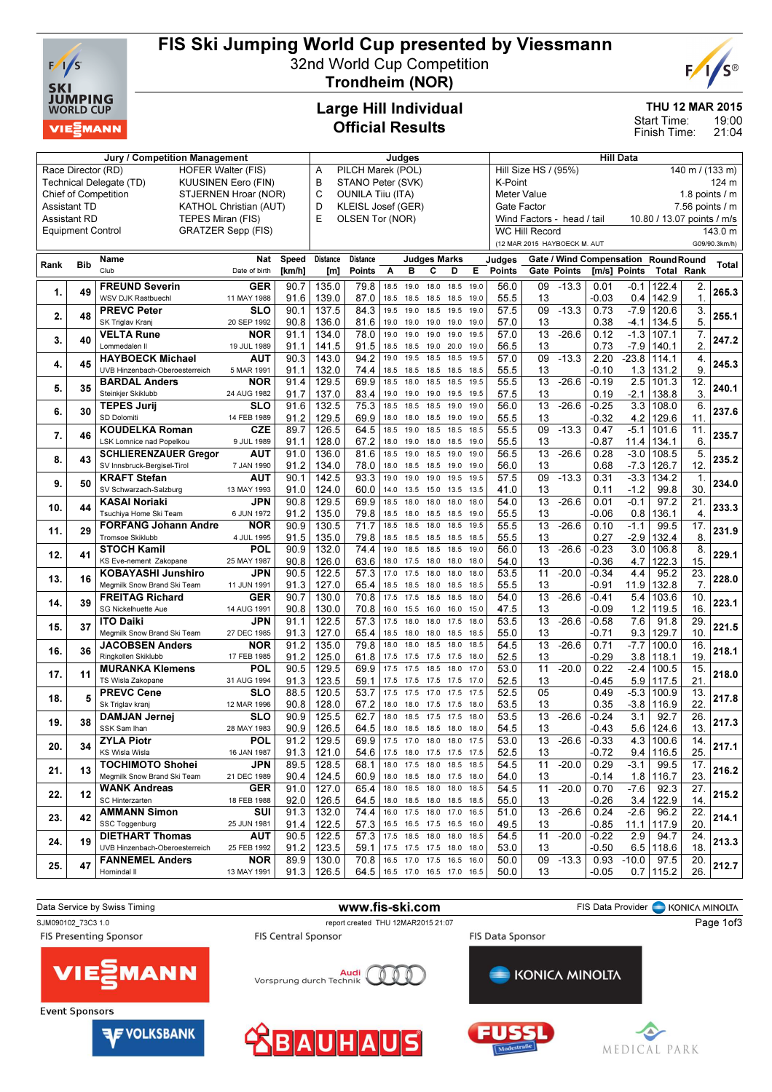

# FIS Ski Jumping World Cup presented by Viessmann

32nd World Cup Competition Trondheim (NOR)



THU 12 MAR 2015

19:00 21:04 Start Time: Finish Time:

#### Large Hill Individual Official Results

|      |                          | Judges                                              |                               |                 |                 |                               | <b>Hill Data</b> |                                         |                                      |                                                          |                       |        |                              |                    |         |                                     |             |                         |               |
|------|--------------------------|-----------------------------------------------------|-------------------------------|-----------------|-----------------|-------------------------------|------------------|-----------------------------------------|--------------------------------------|----------------------------------------------------------|-----------------------|--------|------------------------------|--------------------|---------|-------------------------------------|-------------|-------------------------|---------------|
|      |                          | Race Director (RD)<br><b>HOFER Walter (FIS)</b>     | PILCH Marek (POL)<br>Α        |                 |                 |                               |                  | Hill Size HS / (95%)<br>140 m / (133 m) |                                      |                                                          |                       |        |                              |                    |         |                                     |             |                         |               |
|      |                          | Technical Delegate (TD)<br>KUUSINEN Eero (FIN)      | B<br>STANO Peter (SVK)        |                 |                 |                               |                  |                                         | K-Point<br>124 m                     |                                                          |                       |        |                              |                    |         |                                     |             |                         |               |
|      |                          | <b>Chief of Competition</b><br>STJERNEN Hroar (NOR) | C<br><b>OUNILA Tiiu (ITA)</b> |                 |                 |                               |                  |                                         | <b>Meter Value</b><br>1.8 points / m |                                                          |                       |        |                              |                    |         |                                     |             |                         |               |
|      | Assistant TD             | KATHOL Christian (AUT)                              | D<br>KLEISL Josef (GER)       |                 |                 |                               |                  |                                         | $7.56$ points $/ m$<br>Gate Factor   |                                                          |                       |        |                              |                    |         |                                     |             |                         |               |
|      | Assistant RD             | TEPES Miran (FIS)                                   | E                             | OLSEN Tor (NOR) |                 |                               |                  |                                         |                                      | Wind Factors - head / tail<br>10.80 / 13.07 points / m/s |                       |        |                              |                    |         |                                     |             |                         |               |
|      |                          | <b>GRATZER Sepp (FIS)</b>                           |                               |                 |                 |                               |                  |                                         |                                      |                                                          | <b>WC Hill Record</b> |        |                              |                    |         |                                     | 143.0 m     |                         |               |
|      | <b>Equipment Control</b> |                                                     |                               |                 |                 |                               |                  |                                         |                                      |                                                          |                       |        | (12 MAR 2015 HAYBOECK M. AUT |                    |         |                                     |             |                         | G09/90.3km/h) |
|      |                          |                                                     |                               |                 |                 |                               |                  |                                         |                                      |                                                          |                       |        |                              |                    |         |                                     |             |                         |               |
| Rank | <b>Bib</b>               | Name<br>Club                                        | Nat                           | <b>Speed</b>    | <b>Distance</b> | <b>Distance</b>               |                  |                                         | <b>Judges Marks</b>                  |                                                          |                       | Judges |                              |                    |         | Gate / Wind Compensation RoundRound |             |                         | <b>Total</b>  |
|      |                          |                                                     | Date of birth                 | [km/h]          | [m]             | Points                        | Α                | B                                       | C                                    | D                                                        | E                     | Points |                              | <b>Gate Points</b> |         | [m/s] Points                        |             | <b>Total Rank</b>       |               |
| 1.   | 49                       | <b>FREUND Severin</b>                               | <b>GER</b>                    | 90.7            | 135.0           | 79.8                          | 18.5             | 19.0                                    | 18.0                                 | 18.5                                                     | 19.0                  | 56.0   | 09                           | $-13.3$            | 0.01    | $-0.1$                              | 122.4       | 2.                      | 265.3         |
|      |                          | WSV DJK Rastbuechl                                  | 11 MAY 1988                   | 91.6            | 139.0           | 87.0                          | 18.5             | 18.5                                    | 18.5                                 | 18.5 19.0                                                |                       | 55.5   | 13                           |                    | $-0.03$ | 0.4                                 | 142.9       | 1.                      |               |
| 2.   | 48                       | <b>PREVC Peter</b>                                  | <b>SLO</b>                    | 90.1            | 137.5           | 84.3                          | 19.5             | 19.0                                    | 18.5                                 | 19.5                                                     | 19.0                  | 57.5   | 09                           | $-13.3$            | 0.73    | $-7.9$                              | 120.6       | 3.                      | 255.1         |
|      |                          | SK Triglav Kranj                                    | 20 SEP 1992                   | 90.8            | 136.0           | 81.6                          | 19.0             | 19.0                                    | 19.0                                 | 19.0                                                     | 19.0                  | 57.0   | 13                           |                    | 0.38    | -4.1                                | 134.5       | 5.                      |               |
| 3.   | 40                       | <b>VELTA Rune</b>                                   | <b>NOR</b>                    | 91.1            | 134.0           | 78.0                          | 19.0             | 19.0                                    | 19.0                                 | 19.0                                                     | 19.5                  | 57.0   | 13                           | $-26.6$            | 0.12    | $-1.3$                              | 107.1       | 7.                      | 247.2         |
|      |                          | Lommedalen II                                       | 19 JUL 1989                   | 91.1            | 141.5           | 91.5                          | 18.5             | 18.5                                    | 19.0                                 | 20.0                                                     | 19.0                  | 56.5   | 13                           |                    | 0.73    | $-7.9$                              | 140.1       | 2.                      |               |
| 4.   | 45                       | <b>HAYBOECK Michael</b>                             | AUT                           | 90.3            | 143.0           | 94.2                          | 19.0             | 19.5                                    | 18.5                                 | 18.5                                                     | 19.5                  | 57.0   | 09                           | $-13.3$            | 2.20    | $-23.8$                             | 114.1       | 4.                      | 245.3         |
|      |                          | UVB Hinzenbach-Oberoesterreich                      | 5 MAR 1991                    | 91.1            | 132.0           | 74.4                          | 18.5             | 18.5                                    | 18.5                                 | 18.5                                                     | 18.5                  | 55.5   | 13                           |                    | -0.10   | 1.3                                 | 131.2       | 9.                      |               |
|      | 35                       | <b>BARDAL Anders</b>                                | <b>NOR</b>                    | 91.4            | 129.5           | 69.9                          | 18.5             | 18.0                                    | 18.5                                 | 18.5                                                     | 19.5                  | 55.5   | 13                           | $-26.6$            | $-0.19$ | 2.5                                 | 101.3       | 12                      | 240.1         |
| 5.   |                          | Steinkjer Skiklubb                                  | 24 AUG 1982                   | 91.7            | 137.0           | 83.4                          | 19.0             | 19.0                                    | 19.0                                 | 19.5                                                     | 19.5                  | 57.5   | 13                           |                    | 0.19    | $-2.1$                              | 138.8       | 3.                      |               |
|      | 30                       | <b>TEPES Jurij</b>                                  | SLO                           | 91.6            | 132.5           | 75.3                          | 18.5             | 18.5                                    | 18.5                                 | 19.0                                                     | 19.0                  | 56.0   | 13                           | $-26.6$            | $-0.25$ | 3.3                                 | 108.0       | 6.                      | 237.6         |
| 6.   |                          | SD Dolomiti                                         | 14 FEB 1989                   | 91.2            | 129.5           | 69.9                          | 18.0             | 18.0                                    | 18.5                                 | 19.0                                                     | 19.0                  | 55.5   | 13                           |                    | $-0.32$ | 4.2                                 | 129.6       | 11                      |               |
|      | 46                       | <b>KOUDELKA Roman</b>                               | <b>CZE</b>                    | 89.7            | 126.5           | 64.5                          | 18.5             | 19.0                                    | 18.5                                 | 18.5                                                     | 18.5                  | 55.5   | 09                           | $-13.3$            | 0.47    | $-5.1$                              | 101.6       | 11                      | 235.7         |
| 7.   |                          | LSK Lomnice nad Popelkou                            | 9 JUL 1989                    | 91.1            | 128.0           | 67.2                          | 18.0             | 19.0                                    | 18.0                                 | 18.5                                                     | 19.0                  | 55.5   | 13                           |                    | $-0.87$ | 11.4                                | 134.1       | 6.                      |               |
|      |                          | <b>SCHLIERENZAUER Gregor</b>                        | AUT                           | 91.0            | 136.0           | 81.6                          | 18.5             | 19.0                                    | 18.5                                 | 19.0                                                     | 19.0                  | 56.5   | 13                           | $-26.6$            | 0.28    | $-3.0$                              | 108.5       | 5.                      | 235.2         |
| 8.   | 43                       | SV Innsbruck-Bergisel-Tirol                         | 7 JAN 1990                    | 91.2            | 134.0           | 78.0                          | 18.0             | 18.5                                    | 18.5                                 | 19.0                                                     | 19.0                  | 56.0   | 13                           |                    | 0.68    | $-7.3$                              | 126.7       | 12.                     |               |
|      |                          | <b>KRAFT Stefan</b>                                 | <b>AUT</b>                    | 90.1            | 142.5           | 93.3                          | 19.0             | 19.0                                    | 19.0                                 | 19.5                                                     | 19.5                  | 57.5   | 09                           | $-13.3$            | 0.31    | $-3.3$                              | 134.2       | $\mathbf{1}$            | 234.0         |
| 9.   | 50                       | SV Schwarzach-Salzburg                              | 13 MAY 1993                   | 91.0            | 124.0           | 60.0                          | 14.0             | 13.5                                    | 15.0                                 | 13.5                                                     | 13.5                  | 41.0   | 13                           |                    | 0.11    | $-1.2$                              | 99.8        | 30.                     |               |
|      | 44                       | <b>KASAI Noriaki</b>                                | JPN                           | 90.8            | 129.5           | 69.9                          | 18.5             | 18.0                                    | 18.0                                 | 18.0                                                     | 18.0                  | 54.0   | $\overline{13}$              | $-26.6$            | 0.01    | $-0.1$                              | 97.2        | $\overline{21}$         | 233.3         |
| 10.  |                          | Tsuchiya Home Ski Team                              | 6 JUN 1972                    | 91.2            | 135.0           | 79.8                          | 18.5             | 18.0                                    | 18.5                                 | 18.5                                                     | 19.0                  | 55.5   | 13                           |                    | $-0.06$ | 0.8                                 | 136.1       | $\overline{\mathbf{4}}$ |               |
| 11.  | 29                       | <b>FORFANG Johann Andre</b>                         | <b>NOR</b>                    | 90.9            | 130.5           | 71.7                          | 18.5             | 18.5                                    | 18.0                                 | 18.5                                                     | 19.5                  | 55.5   | 13                           | $-26.6$            | 0.10    | $-1.1$                              | 99.5        | 17.                     | 231.9         |
|      |                          | Tromsoe Skiklubb                                    | 4 JUL 1995                    | 91.5            | 135.0           | 79.8                          | 18.5             | 18.5                                    | 18.5                                 | 18.5                                                     | 18.5                  | 55.5   | 13                           |                    | 0.27    | $-2.9$                              | 132.4       | 8.                      |               |
| 12.  | 41                       | <b>STOCH Kamil</b>                                  | <b>POL</b>                    | 90.9            | 132.0           | 74.4                          | 19.0             | 18.5                                    | 18.5                                 | 18.5                                                     | 19.0                  | 56.0   | $\overline{13}$              | $-26.6$            | $-0.23$ | 3.0                                 | 106.8       | 8.                      | 229.1         |
|      |                          | KS Eve-nement Zakopane                              | 25 MAY 1987                   | 90.8            | 126.0           | 63.6                          | 18.0             | 17.5                                    | 18.0                                 | 18.0 18.0                                                |                       | 54.0   | 13                           |                    | -0.36   | 4.7                                 | 122.3       | 15.                     |               |
| 13.  | 16                       | <b>KOBAYASHI Junshiro</b>                           | JPN                           | 90.5            | 122.5           | 57.3                          | 17.0             | 17.5                                    | 18.0                                 | 18.0                                                     | 18.0                  | 53.5   | $\overline{11}$              | $-20.0$            | $-0.34$ | 4.4                                 | 95.2        | 23.                     | 228.0         |
|      |                          | Megmilk Snow Brand Ski Team                         | 11 JUN 1991                   | 91.3            | 127.0           | 65.4                          | 18.5             | 18.5                                    | 18.0                                 | 18.5 18.5                                                |                       | 55.5   | 13                           |                    | $-0.91$ | 11.9                                | 132.8       | 7.                      |               |
| 14.  | 39                       | <b>FREITAG Richard</b>                              | <b>GER</b>                    | 90.7            | 130.0           | 70.8                          | 17.5             | 17.5                                    | 18.5                                 | 18.5                                                     | 18.0                  | 54.0   | $\overline{13}$              | $-26.6$            | $-0.41$ | 5.4                                 | 103.6       | 10.                     | 223.1         |
|      |                          | SG Nickelhuette Aue                                 | 14 AUG 1991                   | 90.8            | 130.0           | 70.8                          | 16.0             | 15.5                                    | 16.0                                 | 16.0 15.0                                                |                       | 47.5   | 13                           |                    | $-0.09$ | 1.2                                 | 119.5       | 16.                     |               |
| 15.  | 37                       | <b>ITO Daiki</b>                                    | JPN                           | 91.1            | 122.5           | 57.3                          | 17.5             | 18.0                                    | 18.0                                 | 17.5                                                     | 18.0                  | 53.5   | 13                           | $-26.6$            | $-0.58$ | 7.6                                 | 91.8        | $\overline{29}$         | 221.5         |
|      |                          | Megmilk Snow Brand Ski Team                         | 27 DEC 1985                   | 91.3            | 127.0           | 65.4                          | 18.5             | 18.0                                    | 18.0                                 | 18.5 18.5                                                |                       | 55.0   | 13                           |                    | $-0.71$ | 9.3                                 | 129.7       | 10.                     |               |
| 16.  | 36                       | <b>JACOBSEN Anders</b>                              | <b>NOR</b>                    | 91.2            | 135.0           | 79.8                          | 18.0             | 18.0                                    | 18.5                                 | 18.0                                                     | 18.5                  | 54.5   | 13                           | $-26.6$            | 0.71    | $-7.7$                              | 100.0       | 16.                     | 218.1         |
|      |                          | Ringkollen Skiklubb                                 | 17 FEB 1985                   | 91.2            | 125.0           | 61.8                          | 17.5             | 17.5                                    | 17.5                                 | 17.5                                                     | 18.0                  | 52.5   | 13                           |                    | -0.29   | 3.8                                 | 118.1       | 19                      |               |
| 17.  | 11                       | <b>MURANKA Klemens</b>                              | <b>POL</b>                    | 90.5            | 129.5           | 69.9                          | 17.5             | 17.5                                    | 18.5                                 | 18.0                                                     | 17.0                  | 53.0   | 11                           | $-20.0$            | 0.22    | $-2.4$                              | 100.5       | 15.                     | 218.0         |
|      |                          | TS Wisla Zakopane                                   | 31 AUG 1994                   | 91.3            | 123.5           | 59.1                          | 17.5             | 17.5                                    | 17.5                                 | 17.5 17.0                                                |                       | 52.5   | 13                           |                    | $-0.45$ | 5.9                                 | 117.5       | 21                      |               |
| 18.  | 5                        | <b>PREVC Cene</b>                                   | <b>SLO</b>                    | 88.5            | 120.5           | 53.7                          | 17.5             | 17.5                                    | 17.0                                 | 17.5                                                     | 17.5                  | 52.5   | 05                           |                    | 0.49    | $-5.3$                              | 100.9       | 13.                     | 217.8         |
|      |                          | Sk Triglav kranj                                    | 12 MAR 1996                   | 90.8            | 128.0           | 67.2                          | 18.0             | 18.0                                    | 17.5                                 | 17.5                                                     | 18.0                  | 53.5   | 13                           |                    | 0.35    | $-3.8$                              | 116.9       | 22.                     |               |
| 19.  | 38                       | <b>DAMJAN Jernei</b>                                | SLO                           | 90.9            | 125.5           | 62.7                          | 18.0             | 18.5                                    | 17.5                                 | 17.5                                                     | 18.0                  | 53.5   | 13                           | $-26.6$            | $-0.24$ | 3.1                                 | 92.7        | $\overline{26}$         | 217.3         |
|      |                          | SSK Sam Ihan                                        | 28 MAY 1983                   | 90.9            | 126.5           | 64.5                          | 18.0             | 18.5                                    |                                      | 18.5 18.0                                                | 18.0                  | 54.5   | 13                           |                    | $-0.43$ | 5.6                                 | 124.6       | 13.                     |               |
| 20.  | 34                       | <b>ZYLA Piotr</b>                                   | POL                           | 91.2            | 129.5           | 69.9                          |                  | 17.5 17.0 18.0 18.0 17.5                |                                      |                                                          |                       | 53.0   |                              | 13 - 26.6          | $-0.33$ |                                     | 4.3 100.6   | 14.                     | 217.1         |
|      |                          | KS Wisla Wisla                                      | 16 JAN 1987                   | 91.3            | 121.0           | 54.6                          |                  | 17.5 18.0 17.5 17.5 17.5                |                                      |                                                          |                       | 52.5   | 13                           |                    | $-0.72$ |                                     | $9.4$ 116.5 | 25.                     |               |
| 21.  | 13                       | <b>TOCHIMOTO Shohei</b>                             | <b>JPN</b>                    | 89.5            | 128.5           | 68.1                          |                  | 18.0 17.5 18.0 18.5 18.5                |                                      |                                                          |                       | 54.5   | 11                           | $-20.0$            | 0.29    | $-3.1$                              | 99.5        | 17.                     | 216.2         |
|      |                          | Megmilk Snow Brand Ski Team                         | 21 DEC 1989                   | 90.4            | 124.5           | 60.9                          |                  | 18.0 18.5 18.0 17.5 18.0                |                                      |                                                          |                       | 54.0   | 13                           |                    | -0.14   |                                     | $1.8$ 116.7 | 23.                     |               |
| 22.  | 12                       | <b>WANK Andreas</b>                                 | <b>GER</b>                    | 91.0            | 127.0           | 65.4                          |                  | 18.0 18.5 18.0 18.0 18.5                |                                      |                                                          |                       | 54.5   | $\overline{11}$              | $-20.0$            | 0.70    | $-7.6$                              | 92.3        | 27.                     | 215.2         |
|      |                          | SC Hinterzarten                                     | 18 FEB 1988                   | 92.0            | 126.5           | 64.5                          |                  | 18.0 18.5 18.0 18.5 18.5                |                                      |                                                          |                       | 55.0   | 13                           |                    | $-0.26$ | 3.4                                 | 122.9       | 14.                     |               |
| 23.  | 42                       | <b>AMMANN Simon</b>                                 | SUI                           | 91.3            | 132.0           | 74.4                          |                  | 16.0 17.5 18.0 17.0 16.5                |                                      |                                                          |                       | 51.0   | 13                           | $-26.6$            | 0.24    | -2.6                                | 96.2        | 22.                     | 214.1         |
|      |                          | SSC Toggenburg                                      | 25 JUN 1981                   | 91.4            | 122.5           | 57.3                          |                  | 16.5 16.5 17.5 16.5 16.0                |                                      |                                                          |                       | 49.5   | 13                           |                    | $-0.85$ | 11.1                                | 117.9       | 20.                     |               |
| 24.  | 19                       | <b>DIETHART Thomas</b>                              | <b>AUT</b>                    | 90.5            | 122.5           | 57.3                          |                  | 17.5 18.5 18.0 18.0 18.5                |                                      |                                                          |                       | 54.5   | 11                           | $-20.0$            | $-0.22$ | 2.9                                 | 94.7        | 24.                     | 213.3         |
|      |                          | UVB Hinzenbach-Oberoesterreich                      | 25 FEB 1992                   | 91.2            | 123.5           | 59.1                          |                  | 17.5 17.5 17.5 18.0 18.0                |                                      |                                                          |                       | 53.0   | 13                           |                    | $-0.50$ |                                     | $6.5$ 118.6 | 18.                     |               |
| 25.  | 47                       | <b>FANNEMEL Anders</b>                              | <b>NOR</b>                    |                 | 89.9   130.0    | 70.8                          |                  | 16.5 17.0 17.5 16.5 16.0                |                                      |                                                          |                       | 50.0   |                              | 09 -13.3           | 0.93    | $-10.0$                             | 97.5        | 20.                     | 212.7         |
|      |                          | Hornindal II                                        | 13 MAY 1991                   |                 | $91.3$   126.5  | 64.5 16.5 17.0 16.5 17.0 16.5 |                  |                                         |                                      |                                                          |                       | 50.0   | 13                           |                    | $-0.05$ |                                     | 0.71115.2   | 26.                     |               |

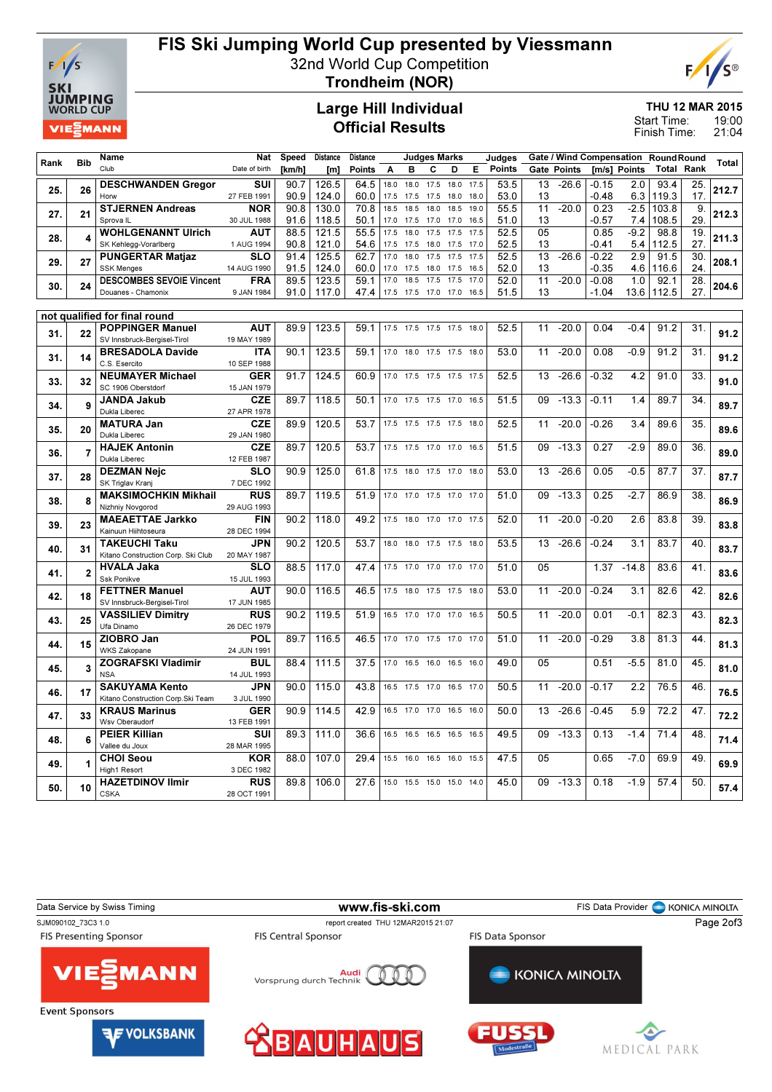

# FIS Ski Jumping World Cup presented by Viessmann

32nd World Cup Competition



Trondheim (NOR)

### Large Hill Individual Official Results

THU 12 MAR 2015

19:00 21:04 Start Time: Finish Time:

| <b>Bib</b><br>Rank<br>Club<br><b>Points</b><br><b>Gate Points</b><br>[m/s] Points<br>Total<br>Rank<br>B<br>C<br>Е<br>Date of birth<br>[km/h]<br>[ <sub>m</sub> ]<br>Points<br>A<br>D<br>SUI<br>93.4<br><b>DESCHWANDEN Gregor</b><br>90.7<br>126.5<br>64.5<br>18.0<br>17.5<br>18.0<br>17.5<br>53.5<br>13<br>$-26.6$<br>$-0.15$<br>2.0<br>18.0<br>25.<br>26<br>25.<br>Horw<br>90.9<br>124.0<br>60.0<br>53.0<br>13<br>$-0.48$<br>6.3<br>119.3<br>17.<br>27 FEB 1991<br>17.5<br>17.5<br>18.0<br>18.0<br>17.5<br>70.8<br>55.5<br>11<br>0.23<br>$-2.5$<br><b>STJERNEN Andreas</b><br>90.8<br>130.0<br>18.5<br>18.5<br>18.5<br>19.0<br>$-20.0$<br>103.8<br>9.<br>NOR<br>18.0<br>21<br>27.<br>29.<br>Sprova <sub>IL</sub><br>30 JUL 1988<br>91.6<br>118.5<br>50.1<br>51.0<br>13<br>$-0.57$<br>7.4<br>108.5<br>17.0<br>17.5<br>17.0<br>17.0<br>16.5<br><b>WOHLGENANNT Ulrich</b><br><b>AUT</b><br>88.5<br>121.5<br>55.5<br>52.5<br>05<br>0.85<br>$-9.2$<br>98.8<br>19.<br>17.5<br>17.5<br>17.5<br>18.0<br>17.5<br>28.<br>27.<br>1 AUG 1994<br>90.8<br>121.0<br>54.6<br>52.5<br>13<br>$-0.41$<br>5.4<br>SK Kehlegg-Vorarlberg<br>17.5<br>17.5<br>17.5<br>17.0<br>112.5<br>18.0<br>13<br>$-26.6$<br>30.<br><b>PUNGERTAR Matjaz</b><br><b>SLO</b><br>91.4<br>125.5<br>62.7<br>17.0<br>18.0<br>17.5<br>17.5<br>17.5<br>52.5<br>$-0.22$<br>2.9<br>91.5<br>29.<br>27<br>91.5<br>13<br>$-0.35$<br>4.6<br>116.6<br>124.0<br>60.0<br>52.0<br>24.<br><b>SSK Menges</b><br>14 AUG 1990<br>17.0<br>17.5<br>17.5<br>18.0<br>16.5<br>$\overline{11}$<br><b>DESCOMBES SEVOIE Vincent</b><br><b>FRA</b><br>89.5<br>123.5<br>59.1<br>18.5<br>52.0<br>$-20.0$<br>$-0.08$<br>1.0<br>92.1<br>28.<br>17.0<br>17.5<br>17.5<br>17.0<br>30.<br>24<br>27.<br>91.0<br>47.4<br>51.5<br>13<br>$-1.04$<br>13.6<br>112.5<br>Douanes - Chamonix<br>9 JAN 1984<br>117.0<br>17.5<br>17.5<br>17.0 17.0<br>16.5<br>not qualified for final round<br>$-20.0$<br><b>POPPINGER Manuel</b><br><b>AUT</b><br>89.9<br>123.5<br>52.5<br>11<br>0.04<br>$-0.4$<br>91.2<br>31.<br>59.1<br>17.5<br>17.5<br>17.5 17.5<br>18.0<br>22<br>31.<br>SV Innsbruck-Bergisel-Tirol<br>19 MAY 1989<br><b>BRESADOLA Davide</b><br>90.1<br>123.5<br>$-20.0$<br>91.2<br>31.<br><b>ITA</b><br>59.1<br>53.0<br>11<br>0.08<br>$-0.9$<br>17.0 18.0 17.5 17.5<br>18.0<br>31.<br>14<br>C.S. Esercito<br>10 SEP 1988<br><b>NEUMAYER Michael</b><br><b>GER</b><br>124.5<br>$-26.6$<br>$-0.32$<br>4.2<br>91.0<br>33.<br>91.7<br>60.9<br>17.0<br>17.5<br>17.5 17.5<br>52.5<br>13<br>17.5<br>33.<br>32<br>SC 1906 Oberstdorf<br>15 JAN 1979<br><b>CZE</b><br>89.7<br>$\overline{34}$<br><b>JANDA Jakub</b><br>89.7<br>118.5<br>50.1<br>17.0<br>51.5<br>09<br>$-13.3$<br>$-0.11$<br>1.4<br>17.5<br>17.5 17.0<br>16.5<br>34.<br>q<br>Dukla Liberec<br>27 APR 1978<br>120.5<br>$-20.0$<br>$-0.26$<br><b>MATURA Jan</b><br><b>CZE</b><br>89.9<br>53.7<br>52.5<br>3.4<br>89.6<br>35.<br>17.5<br>17.5<br>17.5<br>18.0<br>11<br>17.5<br>35.<br>20<br>Dukla Liberec<br>29 JAN 1980<br>120.5<br>$-13.3$<br>0.27<br>$-2.9$<br>89.0<br><b>HAJEK Antonin</b><br><b>CZE</b><br>89.7<br>53.7<br>51.5<br>09<br>36.<br>17.5 17.5 17.0 17.0<br>16.5<br>36.<br>Dukla Liberec<br>12 FEB 1987<br><b>DEZMAN Nejc</b><br><b>SLO</b><br>90.9<br>125.0<br>53.0<br>$-26.6$<br>0.05<br>$-0.5$<br>87.7<br>37.<br>61.8<br>13<br>17.5<br>18.0<br>17.5<br>17.0<br>18.0<br>28<br>37.<br>SK Triglav Kranj<br>7 DEC 1992<br><b>MAKSIMOCHKIN Mikhail</b><br><b>RUS</b><br>119.5<br>51.0<br>09<br>$-13.3$<br>0.25<br>$-2.7$<br>86.9<br>38.<br>89.7<br>51.9<br>17.0<br>17.0<br>17.0<br>17.5 17.0<br>38.<br>8<br>Nizhniy Novgorod<br>29 AUG 1993<br>118.0<br>$-20.0$<br>$-0.20$<br>2.6<br>83.8<br>39.<br><b>MAEAETTAE Jarkko</b><br><b>FIN</b><br>90.2<br>49.2<br>52.0<br>11<br>17.5 18.0 17.0 17.0 17.5<br>23<br>39.<br>Kainuun Hiihtoseura<br>28 DEC 1994<br><b>JPN</b><br>90.2<br>120.5<br>53.7<br>53.5<br>$-26.6$<br>$-0.24$<br>3.1<br>83.7<br>40.<br><b>TAKEUCHI Taku</b><br>18.0<br>18.0<br>13<br>17.5 17.5<br>18.0<br>40.<br>31<br>Kitano Construction Corp. Ski Club<br>20 MAY 1987<br>88.5<br>117.0<br>474<br>05<br>1.37<br>83.6<br>41.<br><b>HVALA Jaka</b><br><b>SLO</b><br>17.5<br>51.0<br>$-14.8$<br>17.0<br>17.0 17.0<br>17.0<br>41.<br>$\overline{2}$<br>Ssk Ponikve<br>15 JUL 1993<br>$-20.0$<br>$-0.24$<br>82.6<br>42.<br><b>FETTNER Manuel</b><br><b>AUT</b><br>90.0<br>116.5<br>46.5<br>53.0<br>11<br>3.1<br>17.5<br>18.0<br>17.5 17.5<br>18.0<br>42.<br>18<br>SV Innsbruck-Bergisel-Tirol<br>17 JUN 1985<br><b>RUS</b><br>90.2<br>119.5<br>50.5<br>11<br>$-20.0$<br>0.01<br>$-0.1$<br>82.3<br>43.<br><b>VASSILIEV Dimitry</b><br>51.9<br>16.5 17.0 17.0 17.0<br>16.5<br>43.<br>25<br>Ufa Dinamo<br>26 DEC 1979<br>$-20.0$<br>$-0.29$<br>ZIOBRO Jan<br><b>POL</b><br>89.7<br>116.5<br>46.5<br>51.0<br>11<br>3.8<br>81.3<br>44.<br>17.0<br>17.0<br>17.5 17.0<br>17.0<br>44.<br>15<br>WKS Zakopane<br>24 JUN 1991 |       |
|---------------------------------------------------------------------------------------------------------------------------------------------------------------------------------------------------------------------------------------------------------------------------------------------------------------------------------------------------------------------------------------------------------------------------------------------------------------------------------------------------------------------------------------------------------------------------------------------------------------------------------------------------------------------------------------------------------------------------------------------------------------------------------------------------------------------------------------------------------------------------------------------------------------------------------------------------------------------------------------------------------------------------------------------------------------------------------------------------------------------------------------------------------------------------------------------------------------------------------------------------------------------------------------------------------------------------------------------------------------------------------------------------------------------------------------------------------------------------------------------------------------------------------------------------------------------------------------------------------------------------------------------------------------------------------------------------------------------------------------------------------------------------------------------------------------------------------------------------------------------------------------------------------------------------------------------------------------------------------------------------------------------------------------------------------------------------------------------------------------------------------------------------------------------------------------------------------------------------------------------------------------------------------------------------------------------------------------------------------------------------------------------------------------------------------------------------------------------------------------------------------------------------------------------------------------------------------------------------------------------------------------------------------------------------------------------------------------------------------------------------------------------------------------------------------------------------------------------------------------------------------------------------------------------------------------------------------------------------------------------------------------------------------------------------------------------------------------------------------------------------------------------------------------------------------------------------------------------------------------------------------------------------------------------------------------------------------------------------------------------------------------------------------------------------------------------------------------------------------------------------------------------------------------------------------------------------------------------------------------------------------------------------------------------------------------------------------------------------------------------------------------------------------------------------------------------------------------------------------------------------------------------------------------------------------------------------------------------------------------------------------------------------------------------------------------------------------------------------------------------------------------------------------------------------------------------------------------------------------------------------------------------------------------------------------------------------------------------------------------------------------------------------------------------------------------------------------------------------------------------------------------------------------------------------------------------------------------------------------------------------------------------------------------------------------------------------------------------------------------------------------------------------------------------------------------------------------------------------------------------------------------------------------------|-------|
|                                                                                                                                                                                                                                                                                                                                                                                                                                                                                                                                                                                                                                                                                                                                                                                                                                                                                                                                                                                                                                                                                                                                                                                                                                                                                                                                                                                                                                                                                                                                                                                                                                                                                                                                                                                                                                                                                                                                                                                                                                                                                                                                                                                                                                                                                                                                                                                                                                                                                                                                                                                                                                                                                                                                                                                                                                                                                                                                                                                                                                                                                                                                                                                                                                                                                                                                                                                                                                                                                                                                                                                                                                                                                                                                                                                                                                                                                                                                                                                                                                                                                                                                                                                                                                                                                                                                                                                                                                                                                                                                                                                                                                                                                                                                                                                                                                                                                                               | Total |
|                                                                                                                                                                                                                                                                                                                                                                                                                                                                                                                                                                                                                                                                                                                                                                                                                                                                                                                                                                                                                                                                                                                                                                                                                                                                                                                                                                                                                                                                                                                                                                                                                                                                                                                                                                                                                                                                                                                                                                                                                                                                                                                                                                                                                                                                                                                                                                                                                                                                                                                                                                                                                                                                                                                                                                                                                                                                                                                                                                                                                                                                                                                                                                                                                                                                                                                                                                                                                                                                                                                                                                                                                                                                                                                                                                                                                                                                                                                                                                                                                                                                                                                                                                                                                                                                                                                                                                                                                                                                                                                                                                                                                                                                                                                                                                                                                                                                                                               |       |
|                                                                                                                                                                                                                                                                                                                                                                                                                                                                                                                                                                                                                                                                                                                                                                                                                                                                                                                                                                                                                                                                                                                                                                                                                                                                                                                                                                                                                                                                                                                                                                                                                                                                                                                                                                                                                                                                                                                                                                                                                                                                                                                                                                                                                                                                                                                                                                                                                                                                                                                                                                                                                                                                                                                                                                                                                                                                                                                                                                                                                                                                                                                                                                                                                                                                                                                                                                                                                                                                                                                                                                                                                                                                                                                                                                                                                                                                                                                                                                                                                                                                                                                                                                                                                                                                                                                                                                                                                                                                                                                                                                                                                                                                                                                                                                                                                                                                                                               | 212.7 |
|                                                                                                                                                                                                                                                                                                                                                                                                                                                                                                                                                                                                                                                                                                                                                                                                                                                                                                                                                                                                                                                                                                                                                                                                                                                                                                                                                                                                                                                                                                                                                                                                                                                                                                                                                                                                                                                                                                                                                                                                                                                                                                                                                                                                                                                                                                                                                                                                                                                                                                                                                                                                                                                                                                                                                                                                                                                                                                                                                                                                                                                                                                                                                                                                                                                                                                                                                                                                                                                                                                                                                                                                                                                                                                                                                                                                                                                                                                                                                                                                                                                                                                                                                                                                                                                                                                                                                                                                                                                                                                                                                                                                                                                                                                                                                                                                                                                                                                               | 212.3 |
|                                                                                                                                                                                                                                                                                                                                                                                                                                                                                                                                                                                                                                                                                                                                                                                                                                                                                                                                                                                                                                                                                                                                                                                                                                                                                                                                                                                                                                                                                                                                                                                                                                                                                                                                                                                                                                                                                                                                                                                                                                                                                                                                                                                                                                                                                                                                                                                                                                                                                                                                                                                                                                                                                                                                                                                                                                                                                                                                                                                                                                                                                                                                                                                                                                                                                                                                                                                                                                                                                                                                                                                                                                                                                                                                                                                                                                                                                                                                                                                                                                                                                                                                                                                                                                                                                                                                                                                                                                                                                                                                                                                                                                                                                                                                                                                                                                                                                                               |       |
|                                                                                                                                                                                                                                                                                                                                                                                                                                                                                                                                                                                                                                                                                                                                                                                                                                                                                                                                                                                                                                                                                                                                                                                                                                                                                                                                                                                                                                                                                                                                                                                                                                                                                                                                                                                                                                                                                                                                                                                                                                                                                                                                                                                                                                                                                                                                                                                                                                                                                                                                                                                                                                                                                                                                                                                                                                                                                                                                                                                                                                                                                                                                                                                                                                                                                                                                                                                                                                                                                                                                                                                                                                                                                                                                                                                                                                                                                                                                                                                                                                                                                                                                                                                                                                                                                                                                                                                                                                                                                                                                                                                                                                                                                                                                                                                                                                                                                                               | 211.3 |
|                                                                                                                                                                                                                                                                                                                                                                                                                                                                                                                                                                                                                                                                                                                                                                                                                                                                                                                                                                                                                                                                                                                                                                                                                                                                                                                                                                                                                                                                                                                                                                                                                                                                                                                                                                                                                                                                                                                                                                                                                                                                                                                                                                                                                                                                                                                                                                                                                                                                                                                                                                                                                                                                                                                                                                                                                                                                                                                                                                                                                                                                                                                                                                                                                                                                                                                                                                                                                                                                                                                                                                                                                                                                                                                                                                                                                                                                                                                                                                                                                                                                                                                                                                                                                                                                                                                                                                                                                                                                                                                                                                                                                                                                                                                                                                                                                                                                                                               |       |
|                                                                                                                                                                                                                                                                                                                                                                                                                                                                                                                                                                                                                                                                                                                                                                                                                                                                                                                                                                                                                                                                                                                                                                                                                                                                                                                                                                                                                                                                                                                                                                                                                                                                                                                                                                                                                                                                                                                                                                                                                                                                                                                                                                                                                                                                                                                                                                                                                                                                                                                                                                                                                                                                                                                                                                                                                                                                                                                                                                                                                                                                                                                                                                                                                                                                                                                                                                                                                                                                                                                                                                                                                                                                                                                                                                                                                                                                                                                                                                                                                                                                                                                                                                                                                                                                                                                                                                                                                                                                                                                                                                                                                                                                                                                                                                                                                                                                                                               | 208.1 |
|                                                                                                                                                                                                                                                                                                                                                                                                                                                                                                                                                                                                                                                                                                                                                                                                                                                                                                                                                                                                                                                                                                                                                                                                                                                                                                                                                                                                                                                                                                                                                                                                                                                                                                                                                                                                                                                                                                                                                                                                                                                                                                                                                                                                                                                                                                                                                                                                                                                                                                                                                                                                                                                                                                                                                                                                                                                                                                                                                                                                                                                                                                                                                                                                                                                                                                                                                                                                                                                                                                                                                                                                                                                                                                                                                                                                                                                                                                                                                                                                                                                                                                                                                                                                                                                                                                                                                                                                                                                                                                                                                                                                                                                                                                                                                                                                                                                                                                               |       |
|                                                                                                                                                                                                                                                                                                                                                                                                                                                                                                                                                                                                                                                                                                                                                                                                                                                                                                                                                                                                                                                                                                                                                                                                                                                                                                                                                                                                                                                                                                                                                                                                                                                                                                                                                                                                                                                                                                                                                                                                                                                                                                                                                                                                                                                                                                                                                                                                                                                                                                                                                                                                                                                                                                                                                                                                                                                                                                                                                                                                                                                                                                                                                                                                                                                                                                                                                                                                                                                                                                                                                                                                                                                                                                                                                                                                                                                                                                                                                                                                                                                                                                                                                                                                                                                                                                                                                                                                                                                                                                                                                                                                                                                                                                                                                                                                                                                                                                               | 204.6 |
|                                                                                                                                                                                                                                                                                                                                                                                                                                                                                                                                                                                                                                                                                                                                                                                                                                                                                                                                                                                                                                                                                                                                                                                                                                                                                                                                                                                                                                                                                                                                                                                                                                                                                                                                                                                                                                                                                                                                                                                                                                                                                                                                                                                                                                                                                                                                                                                                                                                                                                                                                                                                                                                                                                                                                                                                                                                                                                                                                                                                                                                                                                                                                                                                                                                                                                                                                                                                                                                                                                                                                                                                                                                                                                                                                                                                                                                                                                                                                                                                                                                                                                                                                                                                                                                                                                                                                                                                                                                                                                                                                                                                                                                                                                                                                                                                                                                                                                               |       |
|                                                                                                                                                                                                                                                                                                                                                                                                                                                                                                                                                                                                                                                                                                                                                                                                                                                                                                                                                                                                                                                                                                                                                                                                                                                                                                                                                                                                                                                                                                                                                                                                                                                                                                                                                                                                                                                                                                                                                                                                                                                                                                                                                                                                                                                                                                                                                                                                                                                                                                                                                                                                                                                                                                                                                                                                                                                                                                                                                                                                                                                                                                                                                                                                                                                                                                                                                                                                                                                                                                                                                                                                                                                                                                                                                                                                                                                                                                                                                                                                                                                                                                                                                                                                                                                                                                                                                                                                                                                                                                                                                                                                                                                                                                                                                                                                                                                                                                               |       |
|                                                                                                                                                                                                                                                                                                                                                                                                                                                                                                                                                                                                                                                                                                                                                                                                                                                                                                                                                                                                                                                                                                                                                                                                                                                                                                                                                                                                                                                                                                                                                                                                                                                                                                                                                                                                                                                                                                                                                                                                                                                                                                                                                                                                                                                                                                                                                                                                                                                                                                                                                                                                                                                                                                                                                                                                                                                                                                                                                                                                                                                                                                                                                                                                                                                                                                                                                                                                                                                                                                                                                                                                                                                                                                                                                                                                                                                                                                                                                                                                                                                                                                                                                                                                                                                                                                                                                                                                                                                                                                                                                                                                                                                                                                                                                                                                                                                                                                               |       |
|                                                                                                                                                                                                                                                                                                                                                                                                                                                                                                                                                                                                                                                                                                                                                                                                                                                                                                                                                                                                                                                                                                                                                                                                                                                                                                                                                                                                                                                                                                                                                                                                                                                                                                                                                                                                                                                                                                                                                                                                                                                                                                                                                                                                                                                                                                                                                                                                                                                                                                                                                                                                                                                                                                                                                                                                                                                                                                                                                                                                                                                                                                                                                                                                                                                                                                                                                                                                                                                                                                                                                                                                                                                                                                                                                                                                                                                                                                                                                                                                                                                                                                                                                                                                                                                                                                                                                                                                                                                                                                                                                                                                                                                                                                                                                                                                                                                                                                               | 91.2  |
|                                                                                                                                                                                                                                                                                                                                                                                                                                                                                                                                                                                                                                                                                                                                                                                                                                                                                                                                                                                                                                                                                                                                                                                                                                                                                                                                                                                                                                                                                                                                                                                                                                                                                                                                                                                                                                                                                                                                                                                                                                                                                                                                                                                                                                                                                                                                                                                                                                                                                                                                                                                                                                                                                                                                                                                                                                                                                                                                                                                                                                                                                                                                                                                                                                                                                                                                                                                                                                                                                                                                                                                                                                                                                                                                                                                                                                                                                                                                                                                                                                                                                                                                                                                                                                                                                                                                                                                                                                                                                                                                                                                                                                                                                                                                                                                                                                                                                                               | 91.2  |
|                                                                                                                                                                                                                                                                                                                                                                                                                                                                                                                                                                                                                                                                                                                                                                                                                                                                                                                                                                                                                                                                                                                                                                                                                                                                                                                                                                                                                                                                                                                                                                                                                                                                                                                                                                                                                                                                                                                                                                                                                                                                                                                                                                                                                                                                                                                                                                                                                                                                                                                                                                                                                                                                                                                                                                                                                                                                                                                                                                                                                                                                                                                                                                                                                                                                                                                                                                                                                                                                                                                                                                                                                                                                                                                                                                                                                                                                                                                                                                                                                                                                                                                                                                                                                                                                                                                                                                                                                                                                                                                                                                                                                                                                                                                                                                                                                                                                                                               |       |
|                                                                                                                                                                                                                                                                                                                                                                                                                                                                                                                                                                                                                                                                                                                                                                                                                                                                                                                                                                                                                                                                                                                                                                                                                                                                                                                                                                                                                                                                                                                                                                                                                                                                                                                                                                                                                                                                                                                                                                                                                                                                                                                                                                                                                                                                                                                                                                                                                                                                                                                                                                                                                                                                                                                                                                                                                                                                                                                                                                                                                                                                                                                                                                                                                                                                                                                                                                                                                                                                                                                                                                                                                                                                                                                                                                                                                                                                                                                                                                                                                                                                                                                                                                                                                                                                                                                                                                                                                                                                                                                                                                                                                                                                                                                                                                                                                                                                                                               | 91.0  |
|                                                                                                                                                                                                                                                                                                                                                                                                                                                                                                                                                                                                                                                                                                                                                                                                                                                                                                                                                                                                                                                                                                                                                                                                                                                                                                                                                                                                                                                                                                                                                                                                                                                                                                                                                                                                                                                                                                                                                                                                                                                                                                                                                                                                                                                                                                                                                                                                                                                                                                                                                                                                                                                                                                                                                                                                                                                                                                                                                                                                                                                                                                                                                                                                                                                                                                                                                                                                                                                                                                                                                                                                                                                                                                                                                                                                                                                                                                                                                                                                                                                                                                                                                                                                                                                                                                                                                                                                                                                                                                                                                                                                                                                                                                                                                                                                                                                                                                               |       |
|                                                                                                                                                                                                                                                                                                                                                                                                                                                                                                                                                                                                                                                                                                                                                                                                                                                                                                                                                                                                                                                                                                                                                                                                                                                                                                                                                                                                                                                                                                                                                                                                                                                                                                                                                                                                                                                                                                                                                                                                                                                                                                                                                                                                                                                                                                                                                                                                                                                                                                                                                                                                                                                                                                                                                                                                                                                                                                                                                                                                                                                                                                                                                                                                                                                                                                                                                                                                                                                                                                                                                                                                                                                                                                                                                                                                                                                                                                                                                                                                                                                                                                                                                                                                                                                                                                                                                                                                                                                                                                                                                                                                                                                                                                                                                                                                                                                                                                               | 89.7  |
|                                                                                                                                                                                                                                                                                                                                                                                                                                                                                                                                                                                                                                                                                                                                                                                                                                                                                                                                                                                                                                                                                                                                                                                                                                                                                                                                                                                                                                                                                                                                                                                                                                                                                                                                                                                                                                                                                                                                                                                                                                                                                                                                                                                                                                                                                                                                                                                                                                                                                                                                                                                                                                                                                                                                                                                                                                                                                                                                                                                                                                                                                                                                                                                                                                                                                                                                                                                                                                                                                                                                                                                                                                                                                                                                                                                                                                                                                                                                                                                                                                                                                                                                                                                                                                                                                                                                                                                                                                                                                                                                                                                                                                                                                                                                                                                                                                                                                                               |       |
|                                                                                                                                                                                                                                                                                                                                                                                                                                                                                                                                                                                                                                                                                                                                                                                                                                                                                                                                                                                                                                                                                                                                                                                                                                                                                                                                                                                                                                                                                                                                                                                                                                                                                                                                                                                                                                                                                                                                                                                                                                                                                                                                                                                                                                                                                                                                                                                                                                                                                                                                                                                                                                                                                                                                                                                                                                                                                                                                                                                                                                                                                                                                                                                                                                                                                                                                                                                                                                                                                                                                                                                                                                                                                                                                                                                                                                                                                                                                                                                                                                                                                                                                                                                                                                                                                                                                                                                                                                                                                                                                                                                                                                                                                                                                                                                                                                                                                                               | 89.6  |
|                                                                                                                                                                                                                                                                                                                                                                                                                                                                                                                                                                                                                                                                                                                                                                                                                                                                                                                                                                                                                                                                                                                                                                                                                                                                                                                                                                                                                                                                                                                                                                                                                                                                                                                                                                                                                                                                                                                                                                                                                                                                                                                                                                                                                                                                                                                                                                                                                                                                                                                                                                                                                                                                                                                                                                                                                                                                                                                                                                                                                                                                                                                                                                                                                                                                                                                                                                                                                                                                                                                                                                                                                                                                                                                                                                                                                                                                                                                                                                                                                                                                                                                                                                                                                                                                                                                                                                                                                                                                                                                                                                                                                                                                                                                                                                                                                                                                                                               |       |
|                                                                                                                                                                                                                                                                                                                                                                                                                                                                                                                                                                                                                                                                                                                                                                                                                                                                                                                                                                                                                                                                                                                                                                                                                                                                                                                                                                                                                                                                                                                                                                                                                                                                                                                                                                                                                                                                                                                                                                                                                                                                                                                                                                                                                                                                                                                                                                                                                                                                                                                                                                                                                                                                                                                                                                                                                                                                                                                                                                                                                                                                                                                                                                                                                                                                                                                                                                                                                                                                                                                                                                                                                                                                                                                                                                                                                                                                                                                                                                                                                                                                                                                                                                                                                                                                                                                                                                                                                                                                                                                                                                                                                                                                                                                                                                                                                                                                                                               | 89.0  |
|                                                                                                                                                                                                                                                                                                                                                                                                                                                                                                                                                                                                                                                                                                                                                                                                                                                                                                                                                                                                                                                                                                                                                                                                                                                                                                                                                                                                                                                                                                                                                                                                                                                                                                                                                                                                                                                                                                                                                                                                                                                                                                                                                                                                                                                                                                                                                                                                                                                                                                                                                                                                                                                                                                                                                                                                                                                                                                                                                                                                                                                                                                                                                                                                                                                                                                                                                                                                                                                                                                                                                                                                                                                                                                                                                                                                                                                                                                                                                                                                                                                                                                                                                                                                                                                                                                                                                                                                                                                                                                                                                                                                                                                                                                                                                                                                                                                                                                               |       |
|                                                                                                                                                                                                                                                                                                                                                                                                                                                                                                                                                                                                                                                                                                                                                                                                                                                                                                                                                                                                                                                                                                                                                                                                                                                                                                                                                                                                                                                                                                                                                                                                                                                                                                                                                                                                                                                                                                                                                                                                                                                                                                                                                                                                                                                                                                                                                                                                                                                                                                                                                                                                                                                                                                                                                                                                                                                                                                                                                                                                                                                                                                                                                                                                                                                                                                                                                                                                                                                                                                                                                                                                                                                                                                                                                                                                                                                                                                                                                                                                                                                                                                                                                                                                                                                                                                                                                                                                                                                                                                                                                                                                                                                                                                                                                                                                                                                                                                               | 87.7  |
|                                                                                                                                                                                                                                                                                                                                                                                                                                                                                                                                                                                                                                                                                                                                                                                                                                                                                                                                                                                                                                                                                                                                                                                                                                                                                                                                                                                                                                                                                                                                                                                                                                                                                                                                                                                                                                                                                                                                                                                                                                                                                                                                                                                                                                                                                                                                                                                                                                                                                                                                                                                                                                                                                                                                                                                                                                                                                                                                                                                                                                                                                                                                                                                                                                                                                                                                                                                                                                                                                                                                                                                                                                                                                                                                                                                                                                                                                                                                                                                                                                                                                                                                                                                                                                                                                                                                                                                                                                                                                                                                                                                                                                                                                                                                                                                                                                                                                                               | 86.9  |
|                                                                                                                                                                                                                                                                                                                                                                                                                                                                                                                                                                                                                                                                                                                                                                                                                                                                                                                                                                                                                                                                                                                                                                                                                                                                                                                                                                                                                                                                                                                                                                                                                                                                                                                                                                                                                                                                                                                                                                                                                                                                                                                                                                                                                                                                                                                                                                                                                                                                                                                                                                                                                                                                                                                                                                                                                                                                                                                                                                                                                                                                                                                                                                                                                                                                                                                                                                                                                                                                                                                                                                                                                                                                                                                                                                                                                                                                                                                                                                                                                                                                                                                                                                                                                                                                                                                                                                                                                                                                                                                                                                                                                                                                                                                                                                                                                                                                                                               |       |
|                                                                                                                                                                                                                                                                                                                                                                                                                                                                                                                                                                                                                                                                                                                                                                                                                                                                                                                                                                                                                                                                                                                                                                                                                                                                                                                                                                                                                                                                                                                                                                                                                                                                                                                                                                                                                                                                                                                                                                                                                                                                                                                                                                                                                                                                                                                                                                                                                                                                                                                                                                                                                                                                                                                                                                                                                                                                                                                                                                                                                                                                                                                                                                                                                                                                                                                                                                                                                                                                                                                                                                                                                                                                                                                                                                                                                                                                                                                                                                                                                                                                                                                                                                                                                                                                                                                                                                                                                                                                                                                                                                                                                                                                                                                                                                                                                                                                                                               | 83.8  |
|                                                                                                                                                                                                                                                                                                                                                                                                                                                                                                                                                                                                                                                                                                                                                                                                                                                                                                                                                                                                                                                                                                                                                                                                                                                                                                                                                                                                                                                                                                                                                                                                                                                                                                                                                                                                                                                                                                                                                                                                                                                                                                                                                                                                                                                                                                                                                                                                                                                                                                                                                                                                                                                                                                                                                                                                                                                                                                                                                                                                                                                                                                                                                                                                                                                                                                                                                                                                                                                                                                                                                                                                                                                                                                                                                                                                                                                                                                                                                                                                                                                                                                                                                                                                                                                                                                                                                                                                                                                                                                                                                                                                                                                                                                                                                                                                                                                                                                               |       |
|                                                                                                                                                                                                                                                                                                                                                                                                                                                                                                                                                                                                                                                                                                                                                                                                                                                                                                                                                                                                                                                                                                                                                                                                                                                                                                                                                                                                                                                                                                                                                                                                                                                                                                                                                                                                                                                                                                                                                                                                                                                                                                                                                                                                                                                                                                                                                                                                                                                                                                                                                                                                                                                                                                                                                                                                                                                                                                                                                                                                                                                                                                                                                                                                                                                                                                                                                                                                                                                                                                                                                                                                                                                                                                                                                                                                                                                                                                                                                                                                                                                                                                                                                                                                                                                                                                                                                                                                                                                                                                                                                                                                                                                                                                                                                                                                                                                                                                               | 83.7  |
|                                                                                                                                                                                                                                                                                                                                                                                                                                                                                                                                                                                                                                                                                                                                                                                                                                                                                                                                                                                                                                                                                                                                                                                                                                                                                                                                                                                                                                                                                                                                                                                                                                                                                                                                                                                                                                                                                                                                                                                                                                                                                                                                                                                                                                                                                                                                                                                                                                                                                                                                                                                                                                                                                                                                                                                                                                                                                                                                                                                                                                                                                                                                                                                                                                                                                                                                                                                                                                                                                                                                                                                                                                                                                                                                                                                                                                                                                                                                                                                                                                                                                                                                                                                                                                                                                                                                                                                                                                                                                                                                                                                                                                                                                                                                                                                                                                                                                                               |       |
|                                                                                                                                                                                                                                                                                                                                                                                                                                                                                                                                                                                                                                                                                                                                                                                                                                                                                                                                                                                                                                                                                                                                                                                                                                                                                                                                                                                                                                                                                                                                                                                                                                                                                                                                                                                                                                                                                                                                                                                                                                                                                                                                                                                                                                                                                                                                                                                                                                                                                                                                                                                                                                                                                                                                                                                                                                                                                                                                                                                                                                                                                                                                                                                                                                                                                                                                                                                                                                                                                                                                                                                                                                                                                                                                                                                                                                                                                                                                                                                                                                                                                                                                                                                                                                                                                                                                                                                                                                                                                                                                                                                                                                                                                                                                                                                                                                                                                                               | 83.6  |
|                                                                                                                                                                                                                                                                                                                                                                                                                                                                                                                                                                                                                                                                                                                                                                                                                                                                                                                                                                                                                                                                                                                                                                                                                                                                                                                                                                                                                                                                                                                                                                                                                                                                                                                                                                                                                                                                                                                                                                                                                                                                                                                                                                                                                                                                                                                                                                                                                                                                                                                                                                                                                                                                                                                                                                                                                                                                                                                                                                                                                                                                                                                                                                                                                                                                                                                                                                                                                                                                                                                                                                                                                                                                                                                                                                                                                                                                                                                                                                                                                                                                                                                                                                                                                                                                                                                                                                                                                                                                                                                                                                                                                                                                                                                                                                                                                                                                                                               |       |
|                                                                                                                                                                                                                                                                                                                                                                                                                                                                                                                                                                                                                                                                                                                                                                                                                                                                                                                                                                                                                                                                                                                                                                                                                                                                                                                                                                                                                                                                                                                                                                                                                                                                                                                                                                                                                                                                                                                                                                                                                                                                                                                                                                                                                                                                                                                                                                                                                                                                                                                                                                                                                                                                                                                                                                                                                                                                                                                                                                                                                                                                                                                                                                                                                                                                                                                                                                                                                                                                                                                                                                                                                                                                                                                                                                                                                                                                                                                                                                                                                                                                                                                                                                                                                                                                                                                                                                                                                                                                                                                                                                                                                                                                                                                                                                                                                                                                                                               | 82.6  |
|                                                                                                                                                                                                                                                                                                                                                                                                                                                                                                                                                                                                                                                                                                                                                                                                                                                                                                                                                                                                                                                                                                                                                                                                                                                                                                                                                                                                                                                                                                                                                                                                                                                                                                                                                                                                                                                                                                                                                                                                                                                                                                                                                                                                                                                                                                                                                                                                                                                                                                                                                                                                                                                                                                                                                                                                                                                                                                                                                                                                                                                                                                                                                                                                                                                                                                                                                                                                                                                                                                                                                                                                                                                                                                                                                                                                                                                                                                                                                                                                                                                                                                                                                                                                                                                                                                                                                                                                                                                                                                                                                                                                                                                                                                                                                                                                                                                                                                               |       |
|                                                                                                                                                                                                                                                                                                                                                                                                                                                                                                                                                                                                                                                                                                                                                                                                                                                                                                                                                                                                                                                                                                                                                                                                                                                                                                                                                                                                                                                                                                                                                                                                                                                                                                                                                                                                                                                                                                                                                                                                                                                                                                                                                                                                                                                                                                                                                                                                                                                                                                                                                                                                                                                                                                                                                                                                                                                                                                                                                                                                                                                                                                                                                                                                                                                                                                                                                                                                                                                                                                                                                                                                                                                                                                                                                                                                                                                                                                                                                                                                                                                                                                                                                                                                                                                                                                                                                                                                                                                                                                                                                                                                                                                                                                                                                                                                                                                                                                               | 82.3  |
|                                                                                                                                                                                                                                                                                                                                                                                                                                                                                                                                                                                                                                                                                                                                                                                                                                                                                                                                                                                                                                                                                                                                                                                                                                                                                                                                                                                                                                                                                                                                                                                                                                                                                                                                                                                                                                                                                                                                                                                                                                                                                                                                                                                                                                                                                                                                                                                                                                                                                                                                                                                                                                                                                                                                                                                                                                                                                                                                                                                                                                                                                                                                                                                                                                                                                                                                                                                                                                                                                                                                                                                                                                                                                                                                                                                                                                                                                                                                                                                                                                                                                                                                                                                                                                                                                                                                                                                                                                                                                                                                                                                                                                                                                                                                                                                                                                                                                                               | 81.3  |
|                                                                                                                                                                                                                                                                                                                                                                                                                                                                                                                                                                                                                                                                                                                                                                                                                                                                                                                                                                                                                                                                                                                                                                                                                                                                                                                                                                                                                                                                                                                                                                                                                                                                                                                                                                                                                                                                                                                                                                                                                                                                                                                                                                                                                                                                                                                                                                                                                                                                                                                                                                                                                                                                                                                                                                                                                                                                                                                                                                                                                                                                                                                                                                                                                                                                                                                                                                                                                                                                                                                                                                                                                                                                                                                                                                                                                                                                                                                                                                                                                                                                                                                                                                                                                                                                                                                                                                                                                                                                                                                                                                                                                                                                                                                                                                                                                                                                                                               |       |
| <b>ZOGRAFSKI Vladimir</b><br><b>BUL</b><br>81.0<br>45.<br>88.4<br>111.5<br>37.5<br>49.0<br>05<br>0.51<br>$-5.5$<br>17.0<br>16.5<br>16.0<br>16.5<br>16.0<br>3<br>45.                                                                                                                                                                                                                                                                                                                                                                                                                                                                                                                                                                                                                                                                                                                                                                                                                                                                                                                                                                                                                                                                                                                                                                                                                                                                                                                                                                                                                                                                                                                                                                                                                                                                                                                                                                                                                                                                                                                                                                                                                                                                                                                                                                                                                                                                                                                                                                                                                                                                                                                                                                                                                                                                                                                                                                                                                                                                                                                                                                                                                                                                                                                                                                                                                                                                                                                                                                                                                                                                                                                                                                                                                                                                                                                                                                                                                                                                                                                                                                                                                                                                                                                                                                                                                                                                                                                                                                                                                                                                                                                                                                                                                                                                                                                                           | 81.0  |
| <b>NSA</b><br>14 JUL 1993                                                                                                                                                                                                                                                                                                                                                                                                                                                                                                                                                                                                                                                                                                                                                                                                                                                                                                                                                                                                                                                                                                                                                                                                                                                                                                                                                                                                                                                                                                                                                                                                                                                                                                                                                                                                                                                                                                                                                                                                                                                                                                                                                                                                                                                                                                                                                                                                                                                                                                                                                                                                                                                                                                                                                                                                                                                                                                                                                                                                                                                                                                                                                                                                                                                                                                                                                                                                                                                                                                                                                                                                                                                                                                                                                                                                                                                                                                                                                                                                                                                                                                                                                                                                                                                                                                                                                                                                                                                                                                                                                                                                                                                                                                                                                                                                                                                                                     |       |
| $-20.0$<br><b>SAKUYAMA Kento</b><br><b>JPN</b><br>90.0<br>115.0<br>43.8<br>50.5<br>11<br>$-0.17$<br>2.2<br>76.5<br>46.<br>16.5 17.5 17.0 16.5<br>17.0<br>17<br>46.                                                                                                                                                                                                                                                                                                                                                                                                                                                                                                                                                                                                                                                                                                                                                                                                                                                                                                                                                                                                                                                                                                                                                                                                                                                                                                                                                                                                                                                                                                                                                                                                                                                                                                                                                                                                                                                                                                                                                                                                                                                                                                                                                                                                                                                                                                                                                                                                                                                                                                                                                                                                                                                                                                                                                                                                                                                                                                                                                                                                                                                                                                                                                                                                                                                                                                                                                                                                                                                                                                                                                                                                                                                                                                                                                                                                                                                                                                                                                                                                                                                                                                                                                                                                                                                                                                                                                                                                                                                                                                                                                                                                                                                                                                                                            | 76.5  |
| Kitano Construction Corp. Ski Team<br>3 JUL 1990                                                                                                                                                                                                                                                                                                                                                                                                                                                                                                                                                                                                                                                                                                                                                                                                                                                                                                                                                                                                                                                                                                                                                                                                                                                                                                                                                                                                                                                                                                                                                                                                                                                                                                                                                                                                                                                                                                                                                                                                                                                                                                                                                                                                                                                                                                                                                                                                                                                                                                                                                                                                                                                                                                                                                                                                                                                                                                                                                                                                                                                                                                                                                                                                                                                                                                                                                                                                                                                                                                                                                                                                                                                                                                                                                                                                                                                                                                                                                                                                                                                                                                                                                                                                                                                                                                                                                                                                                                                                                                                                                                                                                                                                                                                                                                                                                                                              |       |
| $-26.6$<br><b>KRAUS Marinus</b><br><b>GER</b><br>90.9<br>114.5<br>42.9<br>16.5 17.0 17.0 16.5<br>50.0<br>13<br>$-0.45$<br>5.9<br>72.2<br>47.<br>16.0<br>33<br>47.<br>Wsv Oberaudorf<br>13 FEB 1991                                                                                                                                                                                                                                                                                                                                                                                                                                                                                                                                                                                                                                                                                                                                                                                                                                                                                                                                                                                                                                                                                                                                                                                                                                                                                                                                                                                                                                                                                                                                                                                                                                                                                                                                                                                                                                                                                                                                                                                                                                                                                                                                                                                                                                                                                                                                                                                                                                                                                                                                                                                                                                                                                                                                                                                                                                                                                                                                                                                                                                                                                                                                                                                                                                                                                                                                                                                                                                                                                                                                                                                                                                                                                                                                                                                                                                                                                                                                                                                                                                                                                                                                                                                                                                                                                                                                                                                                                                                                                                                                                                                                                                                                                                            | 72.2  |
| 71.4<br><b>PEIER Killian</b><br>SUI<br>89.3<br>111.0<br>36.6<br>09<br>$-13.3$<br>0.13<br>48.<br>16.5<br>16.5<br>16.5<br>16.5<br>49.5<br>$-1.4$<br>16.5                                                                                                                                                                                                                                                                                                                                                                                                                                                                                                                                                                                                                                                                                                                                                                                                                                                                                                                                                                                                                                                                                                                                                                                                                                                                                                                                                                                                                                                                                                                                                                                                                                                                                                                                                                                                                                                                                                                                                                                                                                                                                                                                                                                                                                                                                                                                                                                                                                                                                                                                                                                                                                                                                                                                                                                                                                                                                                                                                                                                                                                                                                                                                                                                                                                                                                                                                                                                                                                                                                                                                                                                                                                                                                                                                                                                                                                                                                                                                                                                                                                                                                                                                                                                                                                                                                                                                                                                                                                                                                                                                                                                                                                                                                                                                        |       |
| 48.<br>6<br>Vallee du Joux<br>28 MAR 1995                                                                                                                                                                                                                                                                                                                                                                                                                                                                                                                                                                                                                                                                                                                                                                                                                                                                                                                                                                                                                                                                                                                                                                                                                                                                                                                                                                                                                                                                                                                                                                                                                                                                                                                                                                                                                                                                                                                                                                                                                                                                                                                                                                                                                                                                                                                                                                                                                                                                                                                                                                                                                                                                                                                                                                                                                                                                                                                                                                                                                                                                                                                                                                                                                                                                                                                                                                                                                                                                                                                                                                                                                                                                                                                                                                                                                                                                                                                                                                                                                                                                                                                                                                                                                                                                                                                                                                                                                                                                                                                                                                                                                                                                                                                                                                                                                                                                     | 71.4  |
| 88.0<br>107.0<br>29.4<br>0.65<br>$-7.0$<br>69.9<br>49.<br><b>CHOI Seou</b><br>KOR<br>47.5<br>05<br>15.5<br>16.0<br>16.5<br>16.0<br>15.5                                                                                                                                                                                                                                                                                                                                                                                                                                                                                                                                                                                                                                                                                                                                                                                                                                                                                                                                                                                                                                                                                                                                                                                                                                                                                                                                                                                                                                                                                                                                                                                                                                                                                                                                                                                                                                                                                                                                                                                                                                                                                                                                                                                                                                                                                                                                                                                                                                                                                                                                                                                                                                                                                                                                                                                                                                                                                                                                                                                                                                                                                                                                                                                                                                                                                                                                                                                                                                                                                                                                                                                                                                                                                                                                                                                                                                                                                                                                                                                                                                                                                                                                                                                                                                                                                                                                                                                                                                                                                                                                                                                                                                                                                                                                                                       |       |
| 49.<br>High1 Resort<br>3 DEC 1982                                                                                                                                                                                                                                                                                                                                                                                                                                                                                                                                                                                                                                                                                                                                                                                                                                                                                                                                                                                                                                                                                                                                                                                                                                                                                                                                                                                                                                                                                                                                                                                                                                                                                                                                                                                                                                                                                                                                                                                                                                                                                                                                                                                                                                                                                                                                                                                                                                                                                                                                                                                                                                                                                                                                                                                                                                                                                                                                                                                                                                                                                                                                                                                                                                                                                                                                                                                                                                                                                                                                                                                                                                                                                                                                                                                                                                                                                                                                                                                                                                                                                                                                                                                                                                                                                                                                                                                                                                                                                                                                                                                                                                                                                                                                                                                                                                                                             | 69.9  |
| 89.8<br>106.0<br>$-13.3$<br>$-1.9$<br>57.4<br><b>HAZETDINOV Ilmir</b><br><b>RUS</b><br>27.6<br>45.0<br>09<br>0.18<br>50.<br>15.0  15.5  15.0  15.0  14.0                                                                                                                                                                                                                                                                                                                                                                                                                                                                                                                                                                                                                                                                                                                                                                                                                                                                                                                                                                                                                                                                                                                                                                                                                                                                                                                                                                                                                                                                                                                                                                                                                                                                                                                                                                                                                                                                                                                                                                                                                                                                                                                                                                                                                                                                                                                                                                                                                                                                                                                                                                                                                                                                                                                                                                                                                                                                                                                                                                                                                                                                                                                                                                                                                                                                                                                                                                                                                                                                                                                                                                                                                                                                                                                                                                                                                                                                                                                                                                                                                                                                                                                                                                                                                                                                                                                                                                                                                                                                                                                                                                                                                                                                                                                                                      |       |
| 50.<br>10<br><b>CSKA</b><br>28 OCT 1991                                                                                                                                                                                                                                                                                                                                                                                                                                                                                                                                                                                                                                                                                                                                                                                                                                                                                                                                                                                                                                                                                                                                                                                                                                                                                                                                                                                                                                                                                                                                                                                                                                                                                                                                                                                                                                                                                                                                                                                                                                                                                                                                                                                                                                                                                                                                                                                                                                                                                                                                                                                                                                                                                                                                                                                                                                                                                                                                                                                                                                                                                                                                                                                                                                                                                                                                                                                                                                                                                                                                                                                                                                                                                                                                                                                                                                                                                                                                                                                                                                                                                                                                                                                                                                                                                                                                                                                                                                                                                                                                                                                                                                                                                                                                                                                                                                                                       | 57.4  |

Data Service by Swiss Timing **Example 20 and Service Constructs Constructs** FIS Data Provider FIS Data Provider **CONSTANDING AND A SERVICA AND A SERVICA AND A SERVICA AND A SERVICA AND A SERVICA AND A SERVICA AND A SERVICA** SJM090102\_73C3 1.0 report created THU 12MAR2015 21:07 Page 2of3**FIS Presenting Sponsor FIS Central Sponsor FIS Data Sponsor MANN** | Audi<br>| Vorsprung durch Technik **VIE KONICA MINOLTA Event Sponsors AF VOLKSBANK** RBAUHAU MEDICAL PARK